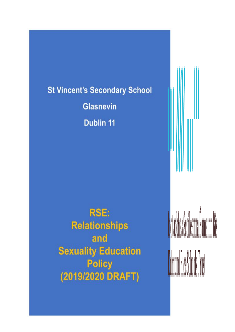# **St Vincent's Secondary School**

**Glasnevin Dublin 11** 

RSE: **Relationships** and **Sexuality Education Policy** (2019/2020 DRAFT)

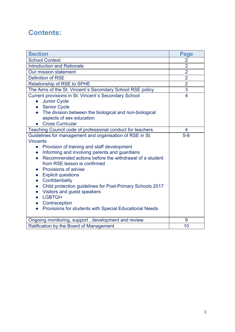## **Contents:**

| <b>Section</b>                                                         | <b>Page</b>             |
|------------------------------------------------------------------------|-------------------------|
| <b>School Context</b>                                                  | $\overline{2}$          |
| <b>Introduction and Rationale</b>                                      | $\overline{2}$          |
| Our mission statement                                                  | $\overline{2}$          |
| <b>Definition of RSE</b>                                               | $\overline{2}$          |
| Relationship of RSE to SPHE                                            | $\overline{2}$          |
| The Aims of the St. Vincent's Secondary School RSE policy              | $\overline{3}$          |
| Current provisions in St. Vincent's Secondary School                   | $\overline{\mathbf{4}}$ |
| <b>Junior Cycle</b><br>$\bullet$                                       |                         |
| • Senior Cycle                                                         |                         |
| The division between the biological and non-biological                 |                         |
| aspects of sex education                                               |                         |
| • Cross Curricular                                                     |                         |
| Teaching Council code of professional conduct for teachers.            | $\overline{4}$          |
| Guidelines for management and organisation of RSE in St.               | $5-8$                   |
| <b>Vincents</b>                                                        |                         |
| Provision of training and staff development<br>$\bullet$               |                         |
| Informing and involving parents and guardians<br>$\bullet$             |                         |
| Recommended actions before the withdrawal of a student<br>$\bullet$    |                         |
| from RSE lesson is confirmed                                           |                         |
| <b>Provisions of advise</b>                                            |                         |
| • Explicit questions                                                   |                         |
| Confidentiality<br>$\bullet$                                           |                         |
| Child protection guidelines for Post-Primary Schools 2017<br>$\bullet$ |                         |
| • Visitors and guest speakers                                          |                         |
| LGBTQI+                                                                |                         |
| Contraception<br>$\bullet$                                             |                         |
| Provisions for students with Special Educational Needs                 |                         |
|                                                                        |                         |
| Ongoing monitoring, support, development and review.                   | 9                       |
| Ratification by the Board of Management                                | 10                      |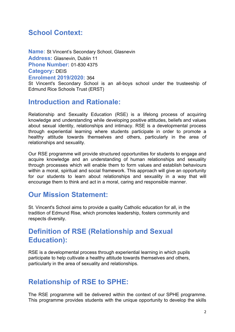## **School Context:**

**Name:** St Vincent's Secondary School, Glasnevin **Address:** Glasnevin, Dublin 11 **Phone Number:** 01-830 4375 **Category:** DEIS **Enrolment 2019/2020:** 364 St Vincent's Secondary School is an all-boys school under the trusteeship of Edmund Rice Schools Trust (ERST)

## **Introduction and Rationale:**

Relationship and Sexuality Education (RSE) is a lifelong process of acquiring knowledge and understanding while developing positive attitudes, beliefs and values about sexual identity, relationships and intimacy. RSE is a developmental process through experiential learning where students participate in order to promote a healthy attitude towards themselves and others, particularly in the area of relationships and sexuality.

Our RSE programme will provide structured opportunities for students to engage and acquire knowledge and an understanding of human relationships and sexuality through processes which will enable them to form values and establish behaviours within a moral, spiritual and social framework. This approach will give an opportunity for our students to learn about relationships and sexuality in a way that will encourage them to think and act in a moral, caring and responsible manner.

## **Our Mission Statement:**

St. Vincent's School aims to provide a quality Catholic education for all, in the tradition of Edmund Rise, which promotes leadership, fosters community and respects diversity.

## **Definition of RSE (Relationship and Sexual Education):**

RSE is a developmental process through experiential learning in which pupils participate to help cultivate a healthy attitude towards themselves and others, particularly in the area of sexuality and relationships.

## **Relationship of RSE to SPHE:**

The RSE programme will be delivered within the context of our SPHE programme. This programme provides students with the unique opportunity to develop the skills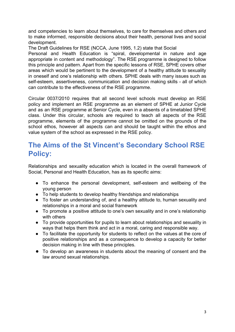and competencies to learn about themselves, to care for themselves and others and to make informed, responsible decisions about their health, personal lives and social development.

The Draft Guidelines for RSE (NCCA, June 1995, 1.2) state that Social Personal and Health Education is "spiral, developmental in nature and age appropriate in content and methodology". The RSE programme is designed to follow this principle and pattern. Apart from the specific lessons of RSE, SPHE covers other areas which would be pertinent to the development of a healthy attitude to sexuality in oneself and one's relationship with others. SPHE deals with many issues such as self-esteem, assertiveness, communication and decision making skills - all of which can contribute to the effectiveness of the RSE programme.

Circular 0037/2010 requires that all second level schools must develop an RSE policy and implement an RSE programme as an element of SPHE at Junior Cycle and as an RSE programme at Senior Cycle, even in a absents of a timetabled SPHE class. Under this circular, schools are required to teach all aspects of the RSE programme, elements of the programme cannot be omitted on the grounds of the school ethos, however all aspects can and should be taught within the ethos and value system of the school as expressed in the RSE policy.

## **The Aims of the St Vincent's Secondary School RSE Policy:**

Relationships and sexuality education which is located in the overall framework of Social, Personal and Health Education, has as its specific aims:

- To enhance the personal development, self-esteem and wellbeing of the young person
- To help students to develop healthy friendships and relationships
- To foster an understanding of, and a healthy attitude to, human sexuality and relationships in a moral and social framework
- To promote a positive attitude to one's own sexuality and in one's relationship with others
- To provide opportunities for pupils to learn about relationships and sexuality in ways that helps them think and act in a moral, caring and responsible way.
- To facilitate the opportunity for students to reflect on the values at the core of positive relationships and as a consequence to develop a capacity for better decision making in line with these principles.
- **●** To develop an awareness in students about the meaning of consent and the law around sexual relationships.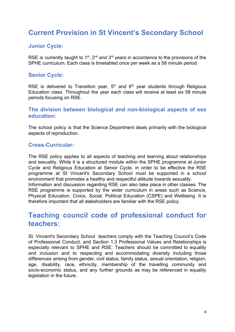## **Current Provision in St Vincent's Secondary School**

### **Junior Cycle:**

RSE is currently taught to 1<sup>st</sup>, 2<sup>nd</sup> and 3<sup>rd</sup> years in accordance to the provisions of the SPHE curriculum. Each class is timetabled once per week as a 58 minute period.

### **Senior Cycle:**

RSE is delivered to Transition year,  $5<sup>th</sup>$  and  $6<sup>th</sup>$  year students through Religious Education class. Throughout the year each class will receive at least six 58 minute periods focusing on RSE.

### **The division between biological and non-biological aspects of sex education:**

The school policy is that the Science Department deals primarily with the biological aspects of reproduction.

### **Cross-Curricular:**

The RSE policy applies to all aspects of teaching and learning about relationships and sexuality. While it is a structured module within the SPHE programme at Junior Cycle and Religious Education at Senior Cycle, in order to be effective the RSE programme at St Vincent's Secondary School must be supported in a school environment that promotes a healthy and respectful attitude towards sexuality. Information and discussion regarding RSE can also take place in other classes. The RSE programme is supported by the wider curriculum in areas such as Science, Physical Education, Civics, Social, Political Education (CSPE) and Wellbeing. It is therefore important that all stakeholders are familiar with the RSE policy.

## **Teaching council code of professional conduct for teachers:**

St. Vincent's Secondary School teachers comply with the Teaching Council's Code of Professional Conduct, and Section 1.3 Professional Values and Relationships is especially relevant to SPHE and RSE: Teachers should be committed to equality and inclusion and to respecting and accommodating diversity including those differences arising from gender, civil status, family status, sexual orientation, religion, age, disability, race, ethnicity, membership of the travelling community and socio-economic status, and any further grounds as may be referenced in equality legislation in the future.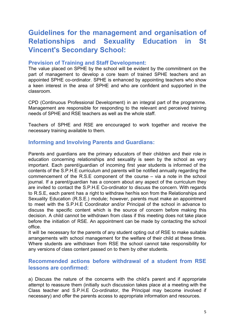## **Guidelines for the management and organisation of Relationships and Sexuality Education in St Vincent's Secondary School:**

#### **Prevision of Training and Staff Development:**

The value placed on SPHE by the school will be evident by the commitment on the part of management to develop a core team of trained SPHE teachers and an appointed SPHE co-ordinator. SPHE is enhanced by appointing teachers who show a keen interest in the area of SPHE and who are confident and supported in the classroom.

CPD (Continuous Professional Development) in an integral part of the programme. Management are responsible for responding to the relevant and perceived training needs of SPHE and RSE teachers as well as the whole staff.

Teachers of SPHE and RSE are encouraged to work together and receive the necessary training available to them.

### **Informing and Involving Parents and Guardians:**

Parents and guardians are the primary educators of their children and their role in education concerning relationships and sexuality is seen by the school as very important. Each parent/guardian of incoming first year students is informed of the contents of the S.P.H.E curriculum and parents will be notified annually regarding the commencement of the R.S.E component of the course – via a note in the school journal. If a parent/guardian has a concern about any aspect of the curriculum they are invited to contact the S.P.H.E Co-ordinator to discuss the concern. With regards to R.S.E, each parent has a right to withdraw her/his son from the Relationships and Sexuality Education (R.S.E.) module; however, parents must make an appointment to meet with the S.P.H.E Coordinator and/or Principal of the school in advance to discuss the specific content which is the source of concern before making this decision. A child cannot be withdrawn from class if this meeting does not take place before the initiation of RSE. An appointment can be made by contacting the school office.

It will be necessary for the parents of any student opting out of RSE to make suitable arrangements with school management for the welfare of their child at these times. Where students are withdrawn from RSE the school cannot take responsibility for any versions of class content passed on to them by other students.

### **Recommended actions before withdrawal of a student from RSE lessons are confirmed:**

a) Discuss the nature of the concerns with the child's parent and if appropriate attempt to reassure them (initially such discussion takes place at a meeting with the Class teacher and S.P.H.E Co-ordinator, the Principal may become involved if necessary) and offer the parents access to appropriate information and resources.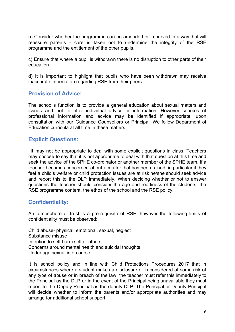b) Consider whether the programme can be amended or improved in a way that will reassure parents - care is taken not to undermine the integrity of the RSE programme and the entitlement of the other pupils.

c) Ensure that where a pupil is withdrawn there is no disruption to other parts of their education

d) It is important to highlight that pupils who have been withdrawn may receive inaccurate information regarding RSE from their peers

### **Provision of Advice:**

The school's function is to provide a general education about sexual matters and issues and not to offer individual advice or information. However sources of professional information and advice may be identified if appropriate, upon consultation with our Guidance Counsellors or Principal. We follow Department of Education curricula at all time in these matters.

#### **Explicit Questions:**

It may not be appropriate to deal with some explicit questions in class. Teachers may choose to say that it is not appropriate to deal with that question at this time and seek the advice of the SPHE co-ordinator or another member of the SPHE team. If a teacher becomes concerned about a matter that has been raised, in particular if they feel a child's welfare or child protection issues are at risk he/she should seek advice and report this to the DLP immediately. When deciding whether or not to answer questions the teacher should consider the age and readiness of the students, the RSE programme content, the ethos of the school and the RSE policy.

### **Confidentiality:**

An atmosphere of trust is a pre-requisite of RSE, however the following limits of confidentiality must be observed:

Child abuse- physical, emotional, sexual, neglect Substance misuse Intention to self-harm self or others Concerns around mental health and suicidal thoughts Under age sexual intercourse

It is school policy and in line with Child Protections Procedures 2017 that in circumstances where a student makes a disclosure or is considered at some risk of any type of abuse or in breach of the law, the teacher must refer this immediately to the Principal as the DLP or in the event of the Principal being unavailable they must report to the Deputy Principal as the deputy DLP. The Principal or Deputy Principal will decide whether to inform the parents and/or appropriate authorities and may arrange for additional school support.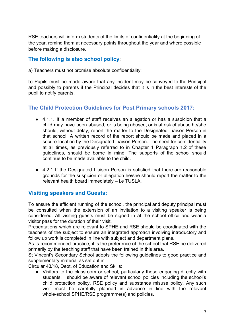RSE teachers will inform students of the limits of confidentiality at the beginning of the year, remind them at necessary points throughout the year and where possible before making a disclosure.

### **The following is also school policy**:

a) Teachers must not promise absolute confidentiality;

b) Pupils must be made aware that any incident may be conveyed to the Principal and possibly to parents if the Principal decides that it is in the best interests of the pupil to notify parents.

## **The Child Protection Guidelines for Post Primary schools 2017:**

- 4.1.1. If a member of staff receives an allegation or has a suspicion that a child may have been abused, or is being abused, or is at risk of abuse he/she should, without delay, report the matter to the Designated Liaison Person in that school. A written record of the report should be made and placed in a secure location by the Designated Liaison Person. The need for confidentiality at all times, as previously referred to in Chapter 1 Paragraph 1.2 of these guidelines, should be borne in mind. The supports of the school should continue to be made available to the child.
- 4.2.1 If the Designated Liaison Person is satisfied that there are reasonable grounds for the suspicion or allegation he/she should report the matter to the relevant health board immediately – i.e TUSLA.

## **Visiting speakers and Guests:**

To ensure the efficient running of the school, the principal and deputy principal must be consulted when the extension of an invitation to a visiting speaker is being considered. All visiting guests must be signed in at the school office and wear a visitor pass for the duration of their visit.

Presentations which are relevant to SPHE and RSE should be coordinated with the teachers of the subject to ensure an integrated approach involving introductory and follow up work is completed in line with subject and department plans.

As is recommended practice, it is the preference of the school that RSE be delivered primarily by the teaching staff that have been trained in this area.

St Vincent's Secondary School adopts the following guidelines to good practice and supplementary material as set out in

Circular 43/18, Dept. of Education and Skills:

● Visitors to the classroom or school, particularly those engaging directly with students, should be aware of relevant school policies including the school's child protection policy, RSE policy and substance misuse policy. Any such visit must be carefully planned in advance in line with the relevant whole-school SPHE/RSE programme(s) and policies.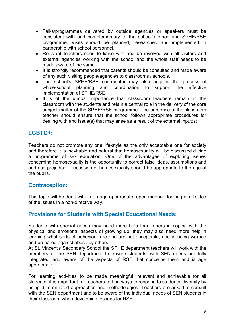- Talks/programmes delivered by outside agencies or speakers must be consistent with and complementary to the school's ethos and SPHE/RSE programme. Visits should be planned, researched and implemented in partnership with school personnel.
- Relevant teachers need to liaise with and be involved with all visitors and external agencies working with the school and the whole staff needs to be made aware of the same.
- It is strongly recommended that parents should be consulted and made aware of any such visiting people/agencies to classrooms / schools.
- The school's SPHE/RSE coordinator may also help in the process of whole-school planning and coordination to support the effective implementation of SPHE/RSE.
- It is of the utmost importance that classroom teachers remain in the classroom with the students and retain a central role in the delivery of the core subject matter of the SPHE/RSE programme. The presence of the classroom teacher should ensure that the school follows appropriate procedures for dealing with and issue(s) that may arise as a result of the external input(s).

## **LGBTQ+:**

Teachers do not promote any one life-style as the only acceptable one for society and therefore it is inevitable and natural that homosexuality will be discussed during a programme of sex education. One of the advantages of exploring issues concerning homosexuality is the opportunity to correct false ideas, assumptions and address prejudice. Discussion of homosexuality should be appropriate to the age of the pupils.

### **Contraception:**

This topic will be dealt with in an age appropriate, open manner, looking at all sides of the issues in a non-directive way.

### **Provisions for Students with Special Educational Needs:**

Students with special needs may need more help than others in coping with the physical and emotional aspects of growing up; they may also need more help in learning what sorts of behaviour are and are not acceptable, and in being warned and prepared against abuse by others.

At St. Vincent's Secondary School the SPHE department teachers will work with the members of the SEN department to ensure students' with SEN needs are fully integrated and aware of the aspects of RSE that concerns them and is age appropriate.

For learning activities to be made meaningful, relevant and achievable for all students, it is important for teachers to find ways to respond to students' diversity by using differentiated approaches and methodologies. Teachers are asked to consult with the SEN department and to be aware of the individual needs of SEN students in their classroom when developing lessons for RSE.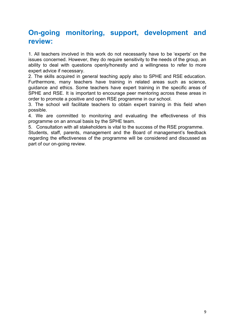## **On-going monitoring, support, development and review:**

1. All teachers involved in this work do not necessarily have to be 'experts' on the issues concerned. However, they do require sensitivity to the needs of the group, an ability to deal with questions openly/honestly and a willingness to refer to more expert advice if necessary.

2. The skills acquired in general teaching apply also to SPHE and RSE education. Furthermore, many teachers have training in related areas such as science, guidance and ethics. Some teachers have expert training in the specific areas of SPHE and RSE. It is important to encourage peer mentoring across these areas in order to promote a positive and open RSE programme in our school.

3. The school will facilitate teachers to obtain expert training in this field when possible.

4. We are committed to monitoring and evaluating the effectiveness of this programme on an annual basis by the SPHE team.

5. Consultation with all stakeholders is vital to the success of the RSE programme.

Students, staff, parents, management and the Board of management's feedback regarding the effectiveness of the programme will be considered and discussed as part of our on-going review.